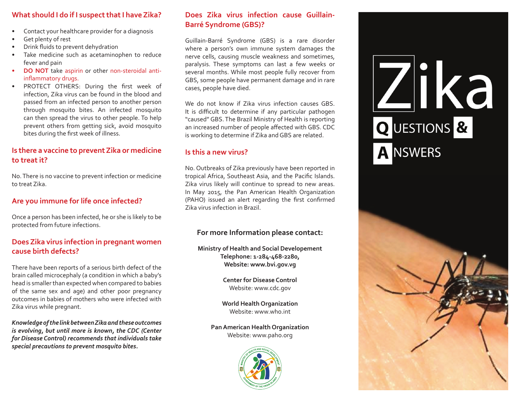# **What should I do if I suspect that I have Zika?**

- Contact your healthcare provider for a diagnosis
- Get plenty of rest
- Drink fluids to prevent dehydration
- Take medicine such as acetaminophen to reduce fever and pain
- **DO NOT** take aspirin or other non-steroidal antiinflammatory drugs.
- PROTECT OTHERS: During the first week of infection, Zika virus can be found in the blood and passed from an infected person to another person through mosquito bites. An infected mosquito can then spread the virus to other people. To help prevent others from getting sick, avoid mosquito bites during the first week of illness.

## **Is there a vaccine to prevent Zika or medicine to treat it?**

No.There is no vaccine to prevent infection or medicine to treat Zika.

#### **Are you immune for life once infected?**

Once a person has been infected, he or she is likely to be protected from future infections.

# **Does Zika virus infection in pregnant women cause birth defects?**

There have been reports of a serious birth defect of the brain called microcephaly (a condition in which a baby's head is smaller than expected when compared to babies of the same sex and age) and other poor pregnancy outcomes in babies of mothers who were infected with Zika virus while pregnant.

*Knowledge of the link between Zika and these outcomes is evolving, but until more is known, the CDC (Center for Disease Control) recommends that individuals take special precautions to prevent mosquito bites.* 

#### **Does Zika virus infection cause Guillain-Barré Syndrome (GBS)?**

Guillain-Barré Syndrome (GBS) is a rare disorder where a person's own immune system damages the nerve cells, causing muscle weakness and sometimes, paralysis. These symptoms can last a few weeks or several months. While most people fully recover from GBS, some people have permanent damage and in rare cases, people have died.

We do not know if Zika virus infection causes GBS. It is difficult to determine if any particular pathogen "caused" GBS. The Brazil Ministry of Health is reporting an increased number of people affected with GBS. CDC is working to determine if Zika and GBS are related.

# **Is this a new virus?**

No. Outbreaks of Zika previously have been reported in tropical Africa, Southeast Asia, and the Pacific Islands. Zika virus likely will continue to spread to new areas. In May 2015, the Pan American Health Organization (PAHO) issued an alert regarding the first confirmed Zika virus infection in Brazil.

# **For more Information please contact:**

**Ministry of Health and Social Developement Telephone: 1-284-468-2280, Website: www.bvi.gov.vg**

> **Center for Disease Control**  Website: www.cdc.gov

**World Health Organization**  Website: www.who.int

**Pan American Health Organization** Website: www.paho.org



# <u>Zijka</u> Q UESTIONS & **A NSWERS**